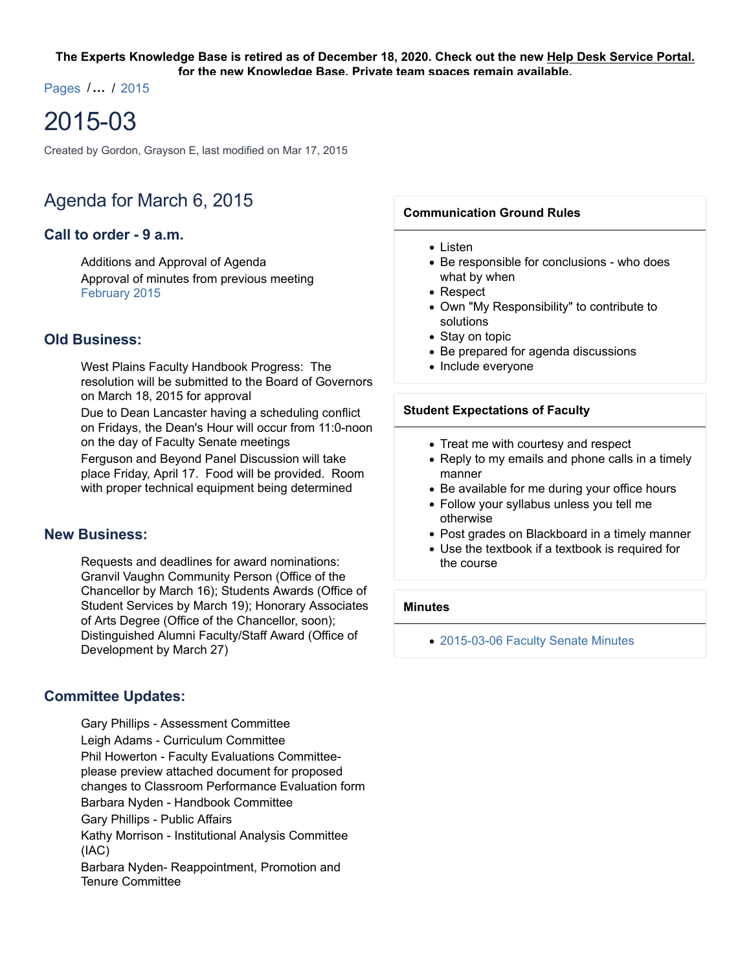#### **The Experts Knowledge Base is retired as of December 18, 2020. Check out the new Help Desk Service Portal. for the new Knowledge Base. Private team spaces remain available.**

Pages /**…** / 2015

# 2015-03

Created by Gordon, Grayson E, last modified on Mar 17, 2015

## Agenda for March 6, 2015

## **Call to order - 9 a.m.**

Additions and Approval of Agenda Approval of minutes from previous meeting February 2015

## **Old Business:**

West Plains Faculty Handbook Progress: The resolution will be submitted to the Board of Governors on March 18, 2015 for approval

Due to Dean Lancaster having a scheduling conflict on Fridays, the Dean's Hour will occur from 11:0-noon on the day of Faculty Senate meetings

Ferguson and Beyond Panel Discussion will take place Friday, April 17. Food will be provided. Room with proper technical equipment being determined

#### **New Business:**

Requests and deadlines for award nominations: Granvil Vaughn Community Person (Office of the Chancellor by March 16); Students Awards (Office of Student Services by March 19); Honorary Associates of Arts Degree (Office of the Chancellor, soon); Distinguished Alumni Faculty/Staff Award (Office of Development by March 27)

## **Committee Updates:**

Gary Phillips - Assessment Committee Leigh Adams - Curriculum Committee Phil Howerton - Faculty Evaluations Committeeplease preview attached document for proposed changes to Classroom Performance Evaluation form Barbara Nyden - Handbook Committee Gary Phillips - Public Affairs Kathy Morrison - Institutional Analysis Committee (IAC) Barbara Nyden- Reappointment, Promotion and Tenure Committee

#### **Communication Ground Rules**

- $\bullet$  Listen
- Be responsible for conclusions who does what by when
- Respect
- Own "My Responsibility" to contribute to solutions
- Stay on topic
- Be prepared for agenda discussions
- Include everyone

#### **Student Expectations of Faculty**

- Treat me with courtesy and respect
- Reply to my emails and phone calls in a timely manner
- Be available for me during your office hours
- Follow your syllabus unless you tell me otherwise
- Post grades on Blackboard in a timely manner
- Use the textbook if a textbook is required for the course

## **Minutes**

2015-03-06 Faculty Senate Minutes